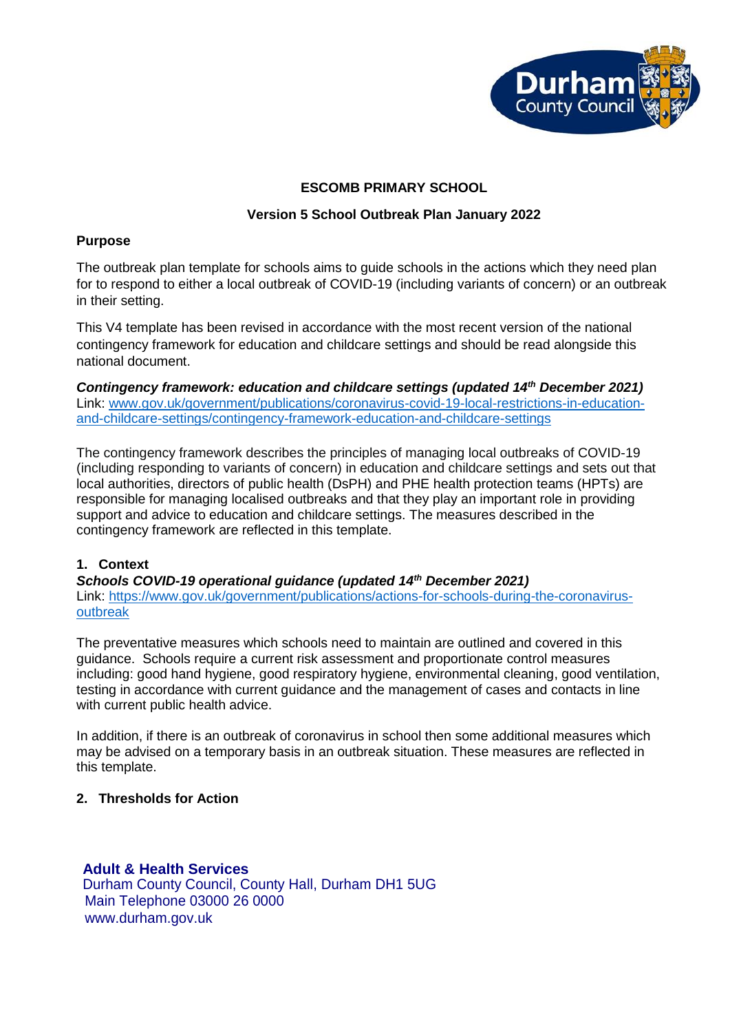

# **ESCOMB PRIMARY SCHOOL**

## **Version 5 School Outbreak Plan January 2022**

## **Purpose**

The outbreak plan template for schools aims to guide schools in the actions which they need plan for to respond to either a local outbreak of COVID-19 (including variants of concern) or an outbreak in their setting.

This V4 template has been revised in accordance with the most recent version of the national contingency framework for education and childcare settings and should be read alongside this national document.

*Contingency framework: education and childcare settings (updated 14th December 2021)* Link: [www.gov.uk/government/publications/coronavirus-covid-19-local-restrictions-in-education](http://www.gov.uk/government/publications/coronavirus-covid-19-local-restrictions-in-education-and-childcare-settings/contingency-framework-education-and-childcare-settings)[and-childcare-settings/contingency-framework-education-and-childcare-settings](http://www.gov.uk/government/publications/coronavirus-covid-19-local-restrictions-in-education-and-childcare-settings/contingency-framework-education-and-childcare-settings)

The contingency framework describes the principles of managing local outbreaks of COVID-19 (including responding to variants of concern) in education and childcare settings and sets out that local authorities, directors of public health (DsPH) and PHE health protection teams (HPTs) are responsible for managing localised outbreaks and that they play an important role in providing support and advice to education and childcare settings. The measures described in the contingency framework are reflected in this template.

## **1. Context**

*Schools COVID-19 operational guidance (updated 14th December 2021)*  Link: [https://www.gov.uk/government/publications/actions-for-schools-during-the-coronavirus](https://www.gov.uk/government/publications/actions-for-schools-during-the-coronavirus-outbreak)[outbreak](https://www.gov.uk/government/publications/actions-for-schools-during-the-coronavirus-outbreak)

The preventative measures which schools need to maintain are outlined and covered in this guidance. Schools require a current risk assessment and proportionate control measures including: good hand hygiene, good respiratory hygiene, environmental cleaning, good ventilation, testing in accordance with current guidance and the management of cases and contacts in line with current public health advice.

In addition, if there is an outbreak of coronavirus in school then some additional measures which may be advised on a temporary basis in an outbreak situation. These measures are reflected in this template.

## **2. Thresholds for Action**

**Adult & Health Services** Durham County Council, County Hall, Durham DH1 5UG Main Telephone 03000 26 0000 www.durham.gov.uk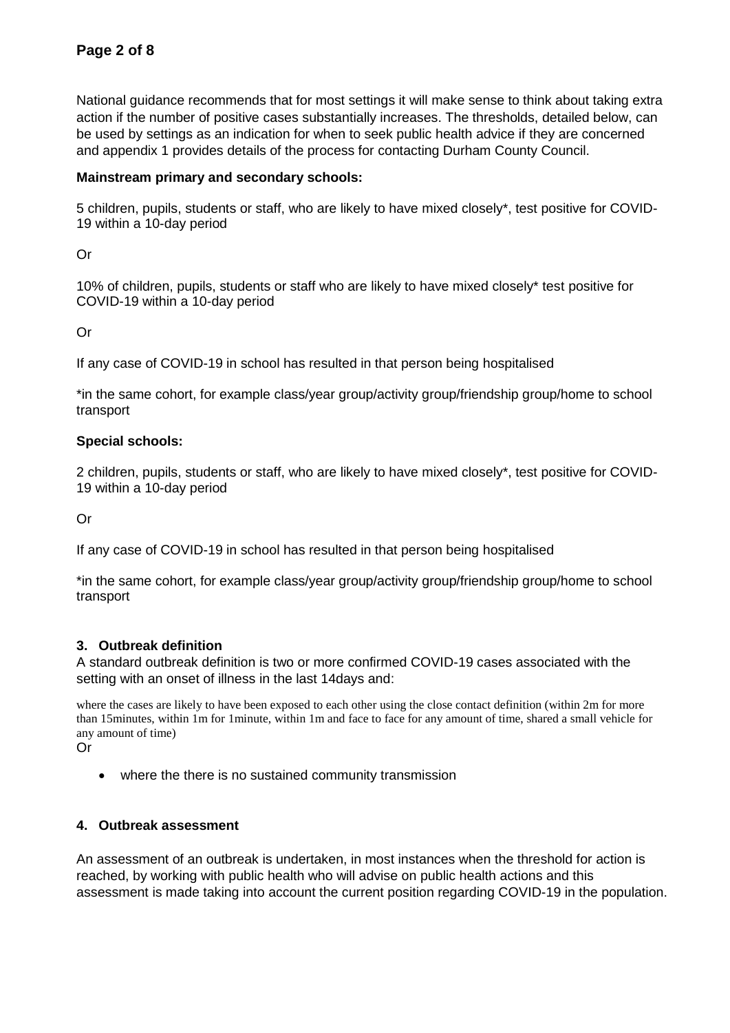National guidance recommends that for most settings it will make sense to think about taking extra action if the number of positive cases substantially increases. The thresholds, detailed below, can be used by settings as an indication for when to seek public health advice if they are concerned and appendix 1 provides details of the process for contacting Durham County Council.

## **Mainstream primary and secondary schools:**

5 children, pupils, students or staff, who are likely to have mixed closely\*, test positive for COVID-19 within a 10-day period

Or

10% of children, pupils, students or staff who are likely to have mixed closely\* test positive for COVID-19 within a 10-day period

Or

If any case of COVID-19 in school has resulted in that person being hospitalised

\*in the same cohort, for example class/year group/activity group/friendship group/home to school transport

## **Special schools:**

2 children, pupils, students or staff, who are likely to have mixed closely\*, test positive for COVID-19 within a 10-day period

Or

If any case of COVID-19 in school has resulted in that person being hospitalised

\*in the same cohort, for example class/year group/activity group/friendship group/home to school transport

## **3. Outbreak definition**

A standard outbreak definition is two or more confirmed COVID-19 cases associated with the setting with an onset of illness in the last 14days and:

where the cases are likely to have been exposed to each other using the close contact definition (within 2m for more than 15minutes, within 1m for 1minute, within 1m and face to face for any amount of time, shared a small vehicle for any amount of time)

Or

• where the there is no sustained community transmission

## **4. Outbreak assessment**

An assessment of an outbreak is undertaken, in most instances when the threshold for action is reached, by working with public health who will advise on public health actions and this assessment is made taking into account the current position regarding COVID-19 in the population.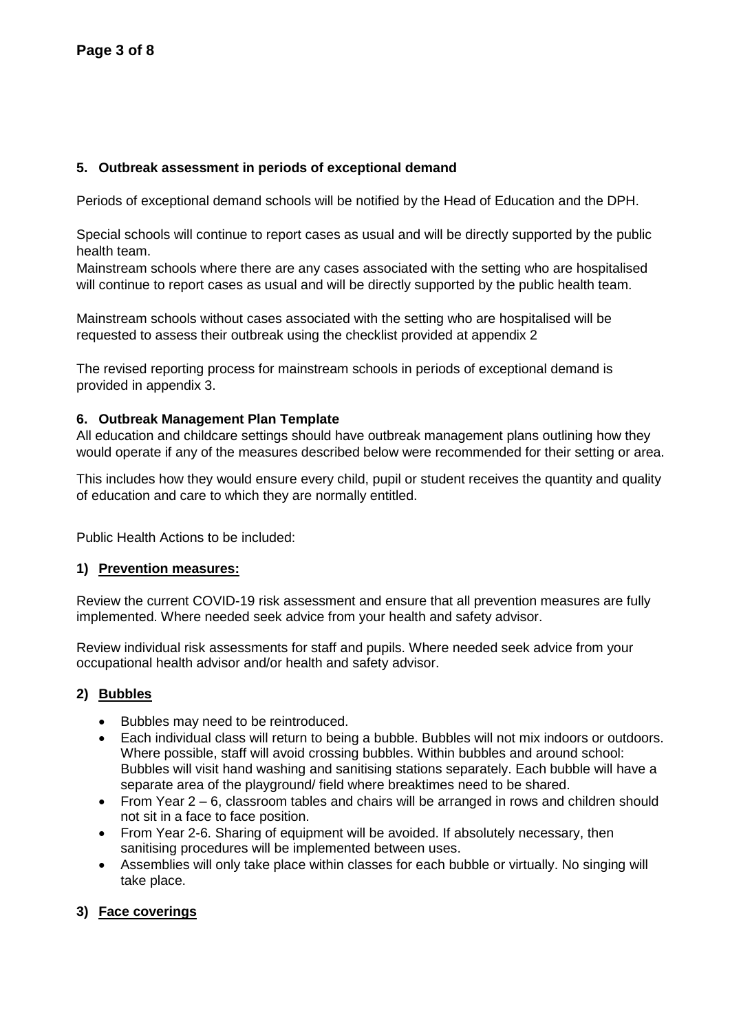## **5. Outbreak assessment in periods of exceptional demand**

Periods of exceptional demand schools will be notified by the Head of Education and the DPH.

Special schools will continue to report cases as usual and will be directly supported by the public health team.

Mainstream schools where there are any cases associated with the setting who are hospitalised will continue to report cases as usual and will be directly supported by the public health team.

Mainstream schools without cases associated with the setting who are hospitalised will be requested to assess their outbreak using the checklist provided at appendix 2

The revised reporting process for mainstream schools in periods of exceptional demand is provided in appendix 3.

## **6. Outbreak Management Plan Template**

All education and childcare settings should have outbreak management plans outlining how they would operate if any of the measures described below were recommended for their setting or area.

This includes how they would ensure every child, pupil or student receives the quantity and quality of education and care to which they are normally entitled.

Public Health Actions to be included:

## **1) Prevention measures:**

Review the current COVID-19 risk assessment and ensure that all prevention measures are fully implemented. Where needed seek advice from your health and safety advisor.

Review individual risk assessments for staff and pupils. Where needed seek advice from your occupational health advisor and/or health and safety advisor.

## **2) Bubbles**

- Bubbles may need to be reintroduced.
- Each individual class will return to being a bubble. Bubbles will not mix indoors or outdoors. Where possible, staff will avoid crossing bubbles. Within bubbles and around school: Bubbles will visit hand washing and sanitising stations separately. Each bubble will have a separate area of the playground/ field where breaktimes need to be shared.
- From Year 2 6, classroom tables and chairs will be arranged in rows and children should not sit in a face to face position.
- From Year 2-6. Sharing of equipment will be avoided. If absolutely necessary, then sanitising procedures will be implemented between uses.
- Assemblies will only take place within classes for each bubble or virtually. No singing will take place.

## **3) Face coverings**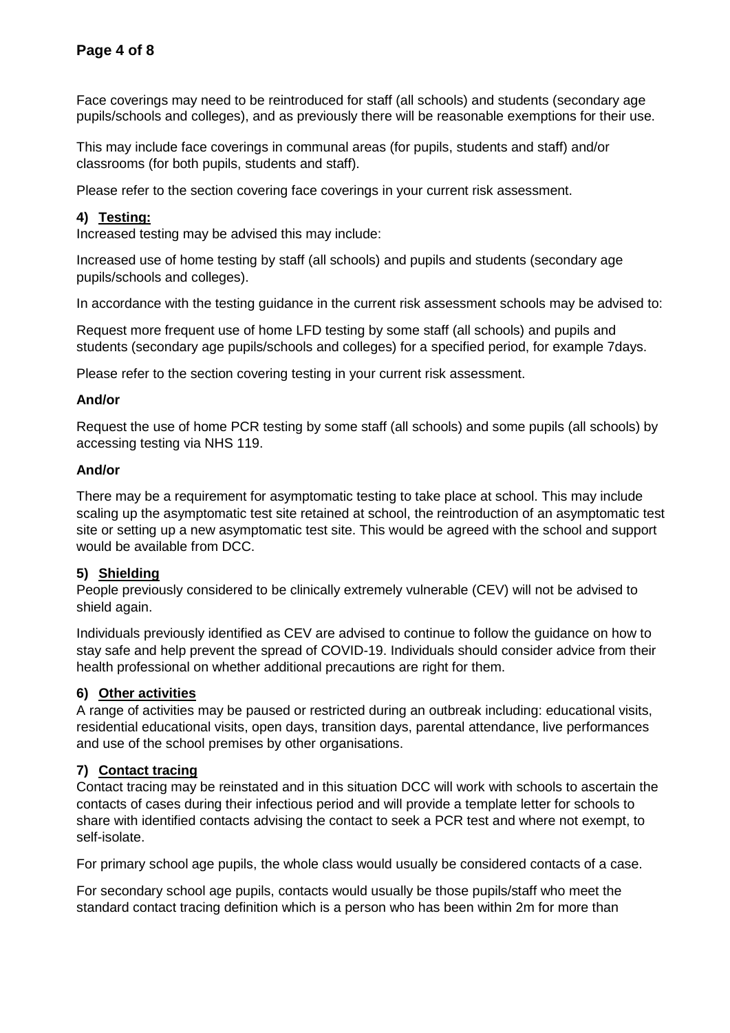Face coverings may need to be reintroduced for staff (all schools) and students (secondary age pupils/schools and colleges), and as previously there will be reasonable exemptions for their use.

This may include face coverings in communal areas (for pupils, students and staff) and/or classrooms (for both pupils, students and staff).

Please refer to the section covering face coverings in your current risk assessment.

## **4) Testing:**

Increased testing may be advised this may include:

Increased use of home testing by staff (all schools) and pupils and students (secondary age pupils/schools and colleges).

In accordance with the testing guidance in the current risk assessment schools may be advised to:

Request more frequent use of home LFD testing by some staff (all schools) and pupils and students (secondary age pupils/schools and colleges) for a specified period, for example 7days.

Please refer to the section covering testing in your current risk assessment.

## **And/or**

Request the use of home PCR testing by some staff (all schools) and some pupils (all schools) by accessing testing via NHS 119.

### **And/or**

There may be a requirement for asymptomatic testing to take place at school. This may include scaling up the asymptomatic test site retained at school, the reintroduction of an asymptomatic test site or setting up a new asymptomatic test site. This would be agreed with the school and support would be available from DCC.

## **5) Shielding**

People previously considered to be clinically extremely vulnerable (CEV) will not be advised to shield again.

Individuals previously identified as CEV are advised to continue to follow the guidance on how to stay safe and help prevent the spread of COVID-19. Individuals should consider advice from their health professional on whether additional precautions are right for them.

## **6) Other activities**

A range of activities may be paused or restricted during an outbreak including: educational visits, residential educational visits, open days, transition days, parental attendance, live performances and use of the school premises by other organisations.

## **7) Contact tracing**

Contact tracing may be reinstated and in this situation DCC will work with schools to ascertain the contacts of cases during their infectious period and will provide a template letter for schools to share with identified contacts advising the contact to seek a PCR test and where not exempt, to self-isolate.

For primary school age pupils, the whole class would usually be considered contacts of a case.

For secondary school age pupils, contacts would usually be those pupils/staff who meet the standard contact tracing definition which is a person who has been within 2m for more than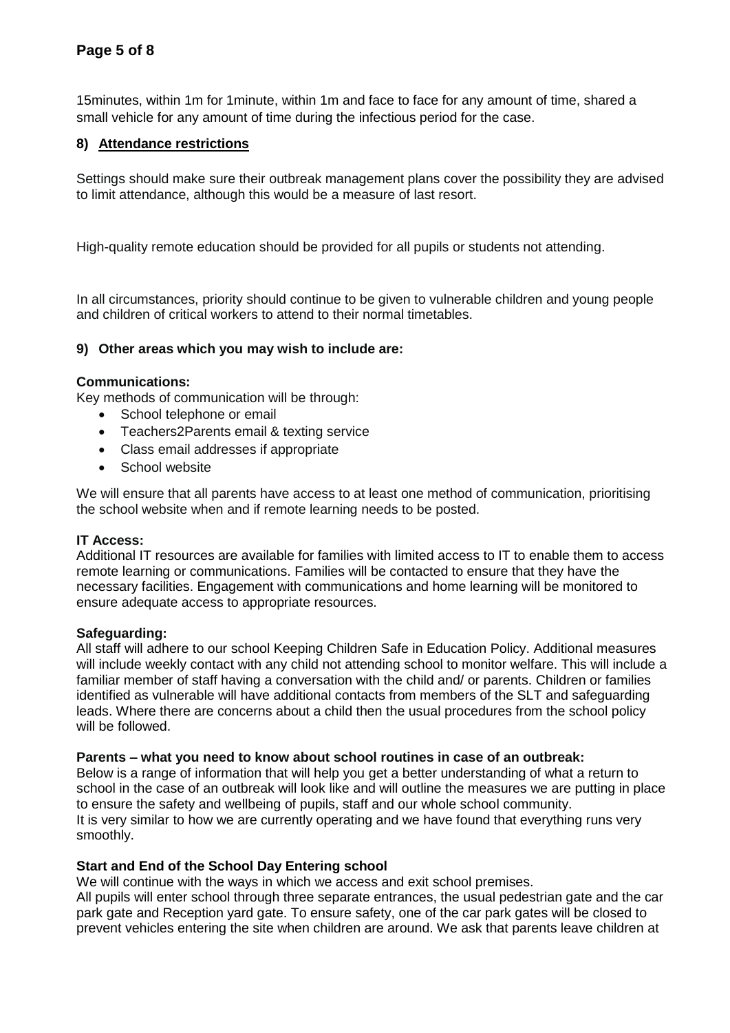# **Page 5 of 8**

15minutes, within 1m for 1minute, within 1m and face to face for any amount of time, shared a small vehicle for any amount of time during the infectious period for the case.

## **8) Attendance restrictions**

Settings should make sure their outbreak management plans cover the possibility they are advised to limit attendance, although this would be a measure of last resort.

High-quality remote education should be provided for all pupils or students not attending.

In all circumstances, priority should continue to be given to vulnerable children and young people and children of critical workers to attend to their normal timetables.

## **9) Other areas which you may wish to include are:**

### **Communications:**

Key methods of communication will be through:

- School telephone or email
- Teachers2Parents email & texting service
- Class email addresses if appropriate
- School website

We will ensure that all parents have access to at least one method of communication, prioritising the school website when and if remote learning needs to be posted.

#### **IT Access:**

Additional IT resources are available for families with limited access to IT to enable them to access remote learning or communications. Families will be contacted to ensure that they have the necessary facilities. Engagement with communications and home learning will be monitored to ensure adequate access to appropriate resources.

#### **Safeguarding:**

All staff will adhere to our school Keeping Children Safe in Education Policy. Additional measures will include weekly contact with any child not attending school to monitor welfare. This will include a familiar member of staff having a conversation with the child and/ or parents. Children or families identified as vulnerable will have additional contacts from members of the SLT and safeguarding leads. Where there are concerns about a child then the usual procedures from the school policy will be followed.

### **Parents – what you need to know about school routines in case of an outbreak:**

Below is a range of information that will help you get a better understanding of what a return to school in the case of an outbreak will look like and will outline the measures we are putting in place to ensure the safety and wellbeing of pupils, staff and our whole school community. It is very similar to how we are currently operating and we have found that everything runs very smoothly.

#### **Start and End of the School Day Entering school**

We will continue with the ways in which we access and exit school premises.

All pupils will enter school through three separate entrances, the usual pedestrian gate and the car park gate and Reception yard gate. To ensure safety, one of the car park gates will be closed to prevent vehicles entering the site when children are around. We ask that parents leave children at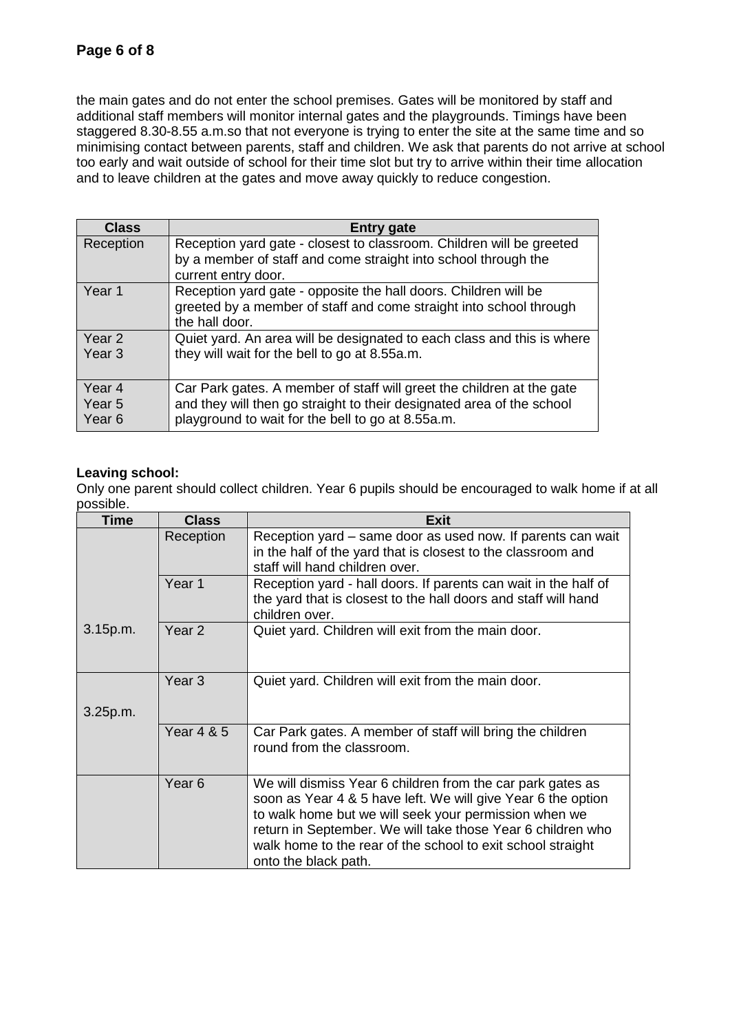the main gates and do not enter the school premises. Gates will be monitored by staff and additional staff members will monitor internal gates and the playgrounds. Timings have been staggered 8.30-8.55 a.m.so that not everyone is trying to enter the site at the same time and so minimising contact between parents, staff and children. We ask that parents do not arrive at school too early and wait outside of school for their time slot but try to arrive within their time allocation and to leave children at the gates and move away quickly to reduce congestion.

| <b>Class</b>                          | <b>Entry gate</b>                                                                                                                                                                                   |
|---------------------------------------|-----------------------------------------------------------------------------------------------------------------------------------------------------------------------------------------------------|
| Reception                             | Reception yard gate - closest to classroom. Children will be greeted                                                                                                                                |
|                                       | by a member of staff and come straight into school through the<br>current entry door.                                                                                                               |
| Year 1                                | Reception yard gate - opposite the hall doors. Children will be<br>greeted by a member of staff and come straight into school through<br>the hall door.                                             |
| Year 2<br>Year <sub>3</sub>           | Quiet yard. An area will be designated to each class and this is where<br>they will wait for the bell to go at 8.55a.m.                                                                             |
| Year 4<br>Year 5<br>Year <sub>6</sub> | Car Park gates. A member of staff will greet the children at the gate<br>and they will then go straight to their designated area of the school<br>playground to wait for the bell to go at 8.55a.m. |

## **Leaving school:**

Only one parent should collect children. Year 6 pupils should be encouraged to walk home if at all possible.

| <b>Time</b> | <b>Class</b>          | <b>Exit</b>                                                                                                                                                                                                                                                                                                                               |
|-------------|-----------------------|-------------------------------------------------------------------------------------------------------------------------------------------------------------------------------------------------------------------------------------------------------------------------------------------------------------------------------------------|
|             | Reception             | Reception yard - same door as used now. If parents can wait<br>in the half of the yard that is closest to the classroom and<br>staff will hand children over.                                                                                                                                                                             |
|             | Year 1                | Reception yard - hall doors. If parents can wait in the half of<br>the yard that is closest to the hall doors and staff will hand<br>children over.                                                                                                                                                                                       |
| 3.15p.m.    | Year <sub>2</sub>     | Quiet yard. Children will exit from the main door.                                                                                                                                                                                                                                                                                        |
| 3.25p.m.    | Year <sub>3</sub>     | Quiet yard. Children will exit from the main door.                                                                                                                                                                                                                                                                                        |
|             |                       |                                                                                                                                                                                                                                                                                                                                           |
|             | <b>Year 4 &amp; 5</b> | Car Park gates. A member of staff will bring the children<br>round from the classroom.                                                                                                                                                                                                                                                    |
|             | Year <sub>6</sub>     | We will dismiss Year 6 children from the car park gates as<br>soon as Year 4 & 5 have left. We will give Year 6 the option<br>to walk home but we will seek your permission when we<br>return in September. We will take those Year 6 children who<br>walk home to the rear of the school to exit school straight<br>onto the black path. |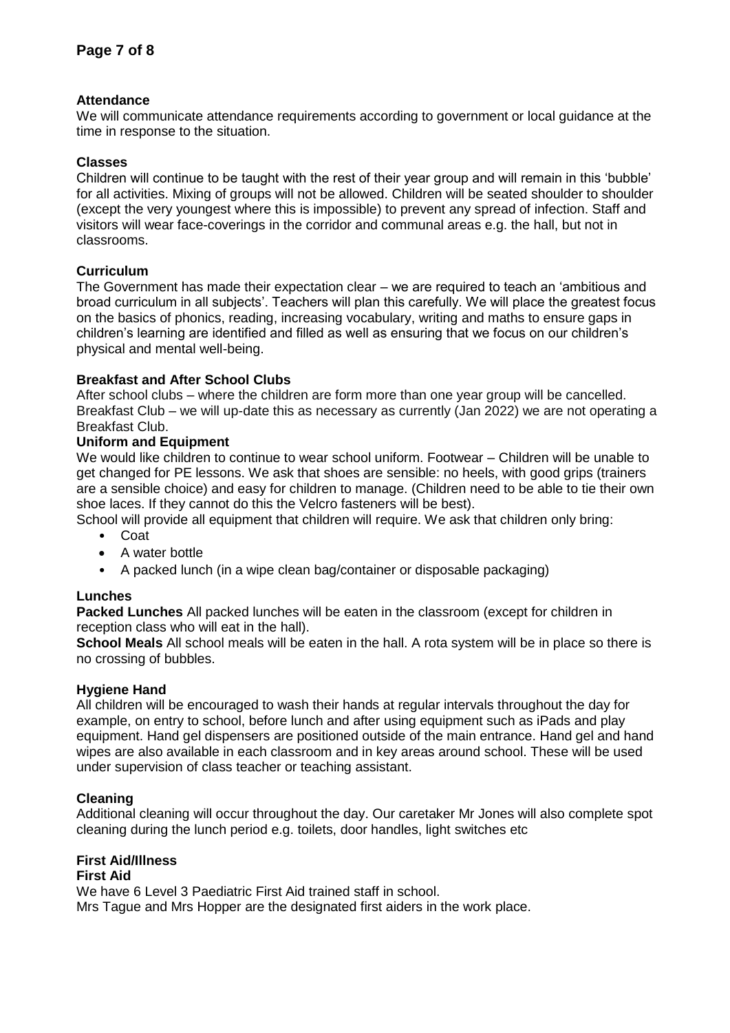## **Attendance**

We will communicate attendance requirements according to government or local guidance at the time in response to the situation.

### **Classes**

Children will continue to be taught with the rest of their year group and will remain in this 'bubble' for all activities. Mixing of groups will not be allowed. Children will be seated shoulder to shoulder (except the very youngest where this is impossible) to prevent any spread of infection. Staff and visitors will wear face-coverings in the corridor and communal areas e.g. the hall, but not in classrooms.

## **Curriculum**

The Government has made their expectation clear – we are required to teach an 'ambitious and broad curriculum in all subjects'. Teachers will plan this carefully. We will place the greatest focus on the basics of phonics, reading, increasing vocabulary, writing and maths to ensure gaps in children's learning are identified and filled as well as ensuring that we focus on our children's physical and mental well-being.

## **Breakfast and After School Clubs**

After school clubs – where the children are form more than one year group will be cancelled. Breakfast Club – we will up-date this as necessary as currently (Jan 2022) we are not operating a Breakfast Club.

### **Uniform and Equipment**

We would like children to continue to wear school uniform. Footwear – Children will be unable to get changed for PE lessons. We ask that shoes are sensible: no heels, with good grips (trainers are a sensible choice) and easy for children to manage. (Children need to be able to tie their own shoe laces. If they cannot do this the Velcro fasteners will be best).

School will provide all equipment that children will require. We ask that children only bring:

- Coat
- A water bottle
- A packed lunch (in a wipe clean bag/container or disposable packaging)

#### **Lunches**

**Packed Lunches** All packed lunches will be eaten in the classroom (except for children in reception class who will eat in the hall).

**School Meals** All school meals will be eaten in the hall. A rota system will be in place so there is no crossing of bubbles.

## **Hygiene Hand**

All children will be encouraged to wash their hands at regular intervals throughout the day for example, on entry to school, before lunch and after using equipment such as iPads and play equipment. Hand gel dispensers are positioned outside of the main entrance. Hand gel and hand wipes are also available in each classroom and in key areas around school. These will be used under supervision of class teacher or teaching assistant.

#### **Cleaning**

Additional cleaning will occur throughout the day. Our caretaker Mr Jones will also complete spot cleaning during the lunch period e.g. toilets, door handles, light switches etc

# **First Aid/Illness**

#### **First Aid**

We have 6 Level 3 Paediatric First Aid trained staff in school.

Mrs Tague and Mrs Hopper are the designated first aiders in the work place.